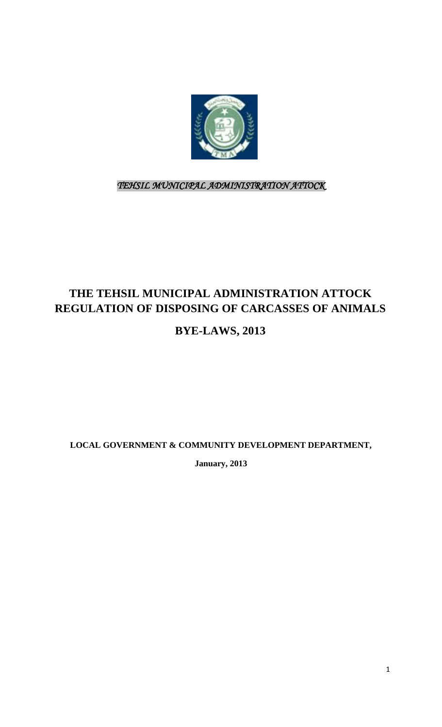

*TEHSIL MUNICIPAL ADMINISTRATION ATTOCK* 

# **THE TEHSIL MUNICIPAL ADMINISTRATION ATTOCK REGULATION OF DISPOSING OF CARCASSES OF ANIMALS**

# **BYE-LAWS, 2013**

**LOCAL GOVERNMENT & COMMUNITY DEVELOPMENT DEPARTMENT,**

**January, 2013**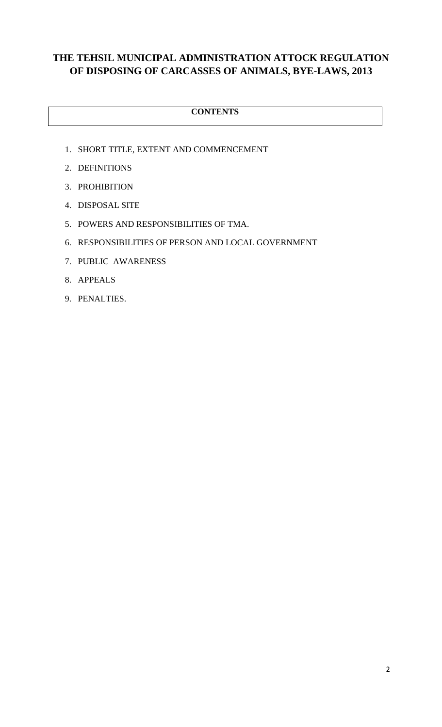### **THE TEHSIL MUNICIPAL ADMINISTRATION ATTOCK REGULATION OF DISPOSING OF CARCASSES OF ANIMALS, BYE-LAWS, 2013**

#### **CONTENTS**

- 1. SHORT TITLE, EXTENT AND COMMENCEMENT
- 2. DEFINITIONS
- 3. PROHIBITION
- 4. DISPOSAL SITE
- 5. POWERS AND RESPONSIBILITIES OF TMA.
- 6. RESPONSIBILITIES OF PERSON AND LOCAL GOVERNMENT
- 7. PUBLIC AWARENESS
- 8. APPEALS
- 9. PENALTIES.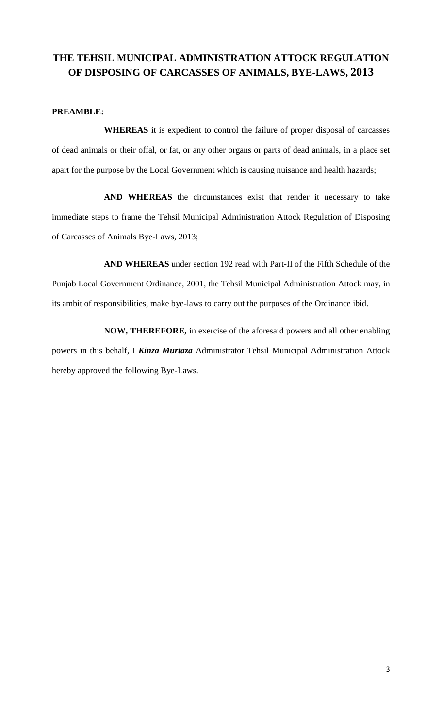### **THE TEHSIL MUNICIPAL ADMINISTRATION ATTOCK REGULATION OF DISPOSING OF CARCASSES OF ANIMALS, BYE-LAWS, 2013**

#### **PREAMBLE:**

**WHEREAS** it is expedient to control the failure of proper disposal of carcasses of dead animals or their offal, or fat, or any other organs or parts of dead animals, in a place set apart for the purpose by the Local Government which is causing nuisance and health hazards;

**AND WHEREAS** the circumstances exist that render it necessary to take immediate steps to frame the Tehsil Municipal Administration Attock Regulation of Disposing of Carcasses of Animals Bye-Laws, 2013;

**AND WHEREAS** under section 192 read with Part-II of the Fifth Schedule of the Punjab Local Government Ordinance, 2001, the Tehsil Municipal Administration Attock may, in its ambit of responsibilities, make bye-laws to carry out the purposes of the Ordinance ibid.

**NOW, THEREFORE,** in exercise of the aforesaid powers and all other enabling powers in this behalf, I *Kinza Murtaza* Administrator Tehsil Municipal Administration Attock hereby approved the following Bye-Laws.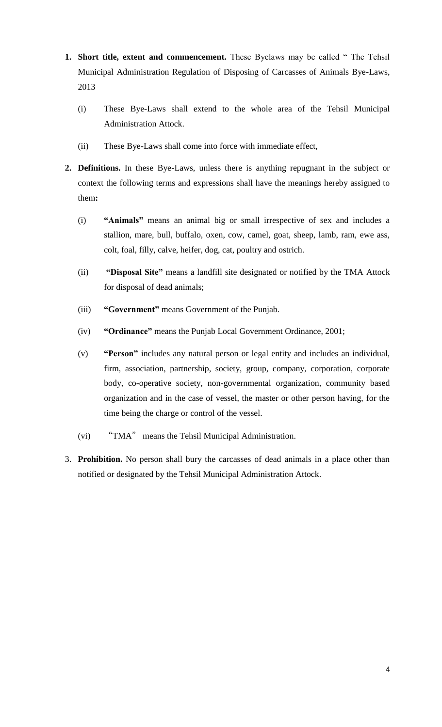- **1. Short title, extent and commencement.** These Byelaws may be called " The Tehsil Municipal Administration Regulation of Disposing of Carcasses of Animals Bye-Laws, 2013
	- (i) These Bye-Laws shall extend to the whole area of the Tehsil Municipal Administration Attock.
	- (ii) These Bye-Laws shall come into force with immediate effect,
- **2. Definitions.** In these Bye-Laws, unless there is anything repugnant in the subject or context the following terms and expressions shall have the meanings hereby assigned to them**:**
	- (i) **"Animals"** means an animal big or small irrespective of sex and includes a stallion, mare, bull, buffalo, oxen, cow, camel, goat, sheep, lamb, ram, ewe ass, colt, foal, filly, calve, heifer, dog, cat, poultry and ostrich.
	- (ii) **"Disposal Site"** means a landfill site designated or notified by the TMA Attock for disposal of dead animals;
	- (iii) **"Government"** means Government of the Punjab.
	- (iv) **"Ordinance"** means the Punjab Local Government Ordinance, 2001;
	- (v) **"Person"** includes any natural person or legal entity and includes an individual, firm, association, partnership, society, group, company, corporation, corporate body, co-operative society, non-governmental organization, community based organization and in the case of vessel, the master or other person having, for the time being the charge or control of the vessel.
	- (vi) "TMA" means the Tehsil Municipal Administration.
- 3. **Prohibition.** No person shall bury the carcasses of dead animals in a place other than notified or designated by the Tehsil Municipal Administration Attock.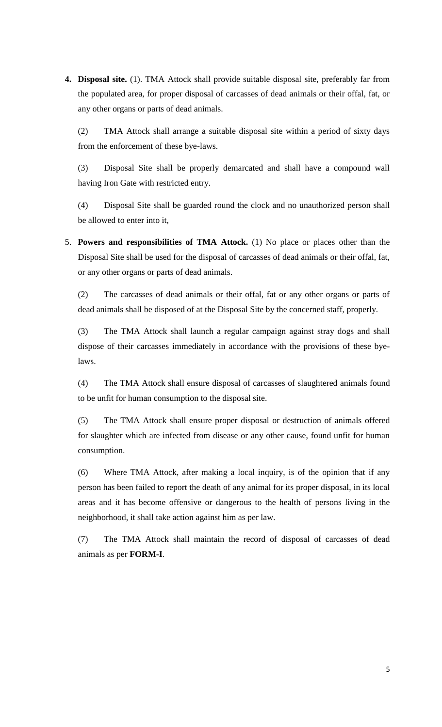**4. Disposal site.** (1). TMA Attock shall provide suitable disposal site, preferably far from the populated area, for proper disposal of carcasses of dead animals or their offal, fat, or any other organs or parts of dead animals.

(2) TMA Attock shall arrange a suitable disposal site within a period of sixty days from the enforcement of these bye-laws.

(3) Disposal Site shall be properly demarcated and shall have a compound wall having Iron Gate with restricted entry.

(4) Disposal Site shall be guarded round the clock and no unauthorized person shall be allowed to enter into it,

5. **Powers and responsibilities of TMA Attock.** (1) No place or places other than the Disposal Site shall be used for the disposal of carcasses of dead animals or their offal, fat, or any other organs or parts of dead animals.

(2) The carcasses of dead animals or their offal, fat or any other organs or parts of dead animals shall be disposed of at the Disposal Site by the concerned staff, properly.

(3) The TMA Attock shall launch a regular campaign against stray dogs and shall dispose of their carcasses immediately in accordance with the provisions of these byelaws.

(4) The TMA Attock shall ensure disposal of carcasses of slaughtered animals found to be unfit for human consumption to the disposal site.

(5) The TMA Attock shall ensure proper disposal or destruction of animals offered for slaughter which are infected from disease or any other cause, found unfit for human consumption.

(6) Where TMA Attock, after making a local inquiry, is of the opinion that if any person has been failed to report the death of any animal for its proper disposal, in its local areas and it has become offensive or dangerous to the health of persons living in the neighborhood, it shall take action against him as per law.

(7) The TMA Attock shall maintain the record of disposal of carcasses of dead animals as per **FORM-I**.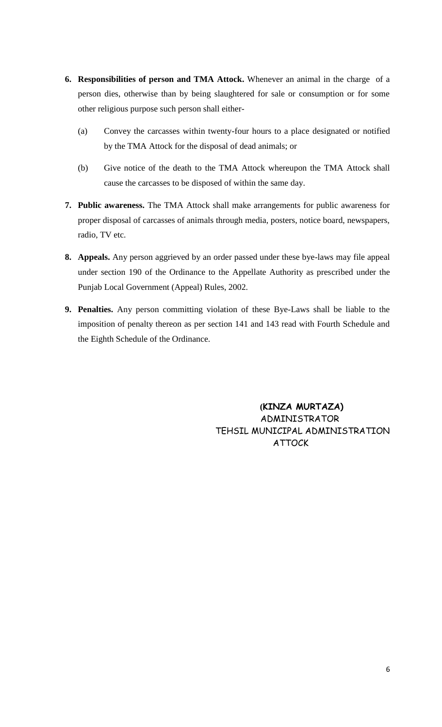- **6. Responsibilities of person and TMA Attock.** Whenever an animal in the charge of a person dies, otherwise than by being slaughtered for sale or consumption or for some other religious purpose such person shall either-
	- (a) Convey the carcasses within twenty-four hours to a place designated or notified by the TMA Attock for the disposal of dead animals; or
	- (b) Give notice of the death to the TMA Attock whereupon the TMA Attock shall cause the carcasses to be disposed of within the same day.
- **7. Public awareness.** The TMA Attock shall make arrangements for public awareness for proper disposal of carcasses of animals through media, posters, notice board, newspapers, radio, TV etc.
- **8. Appeals.** Any person aggrieved by an order passed under these bye-laws may file appeal under section 190 of the Ordinance to the Appellate Authority as prescribed under the Punjab Local Government (Appeal) Rules, 2002.
- **9. Penalties.** Any person committing violation of these Bye-Laws shall be liable to the imposition of penalty thereon as per section 141 and 143 read with Fourth Schedule and the Eighth Schedule of the Ordinance.

**(KINZA MURTAZA)** ADMINISTRATOR TEHSIL MUNICIPAL ADMINISTRATION ATTOCK